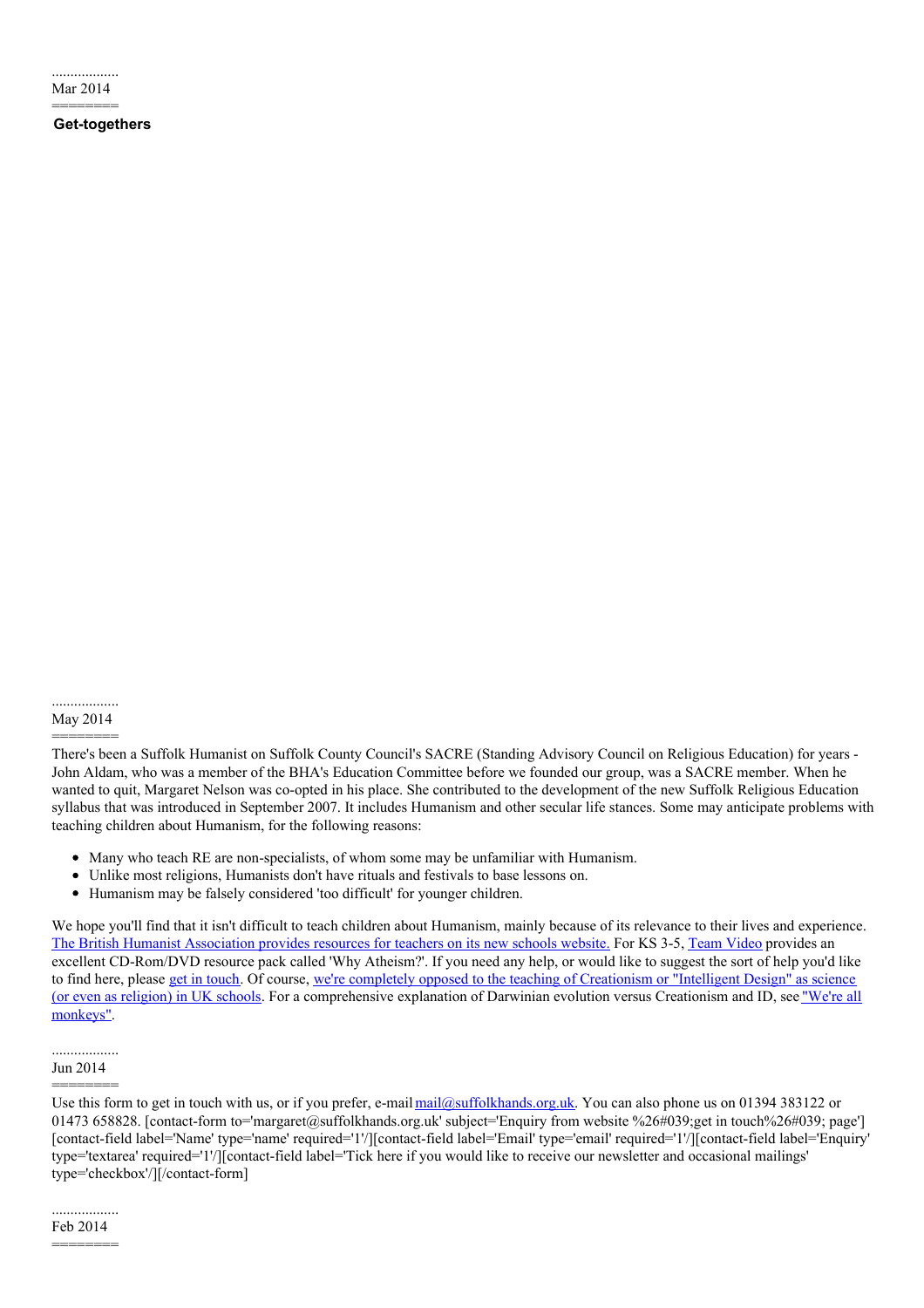.................. Mar 2014

========

# **Get-togethers**

.................. May 2014

========

There's been a Suffolk Humanist on Suffolk County Council's SACRE (Standing Advisory Council on Religious Education) for years - John Aldam, who was a member of the BHA's Education Committee before we founded our group, was a SACRE member. When he wanted to quit, Margaret Nelson was co-opted in his place. She contributed to the development of the new Suffolk Religious Education syllabus that was introduced in September 2007. It includes Humanism and other secular life stances. Some may anticipate problems with teaching children about Humanism, for the following reasons:

- Many who teach RE are non-specialists, of whom some may be unfamiliar with Humanism.
- Unlike most religions, Humanists don't have rituals and festivals to base lessons on.
- Humanism may be falsely considered 'too difficult' for younger children.

We hope you'll find that it isn't difficult to teach children about Humanism, mainly because of its relevance to their lives and experience. The British Humanist [Association](http://www.humanismforschools.org.uk/) provides resources for teachers on its new schools website. For KS 3-5, Team [Video](http://www.team-video.co.uk/) provides an excellent CD-Rom/DVD resource pack called 'Why Atheism?'. If you need any help, or would like to suggest the sort of help you'd like to find here, please get in [touch](http://www.suffolkhands.org.uk/contact). Of course, we're completely opposed to the teaching of Creationism or "Intelligent Design" as science (or even as religion) in UK schools. For a [comprehensive](http://www.suffolkhands.org.uk/monkeys) explanation of Darwinian evolution versus Creationism and ID, see "We're all monkeys".

#### .................. Jun 2014

======== Use this form to get in touch with us, or if you prefer, e-mail [mail@suffolkhands.org.uk](mailto:mail@suffolkhands.org.uk). You can also phone us on 01394 383122 or 01473 658828. [contact-form to='margaret@suffolkhands.org.uk' subject='Enquiry from website %26#039;get in touch%26#039; page'] [contact-field label='Name' type='name' required='1'/][contact-field label='Email' type='email' required='1'/][contact-field label='Enquiry' type='textarea' required='1'/][contact-field label='Tick here if you would like to receive our newsletter and occasional mailings' type='checkbox'/][/contact-form]

.................. Feb 2014

<sup>========</sup>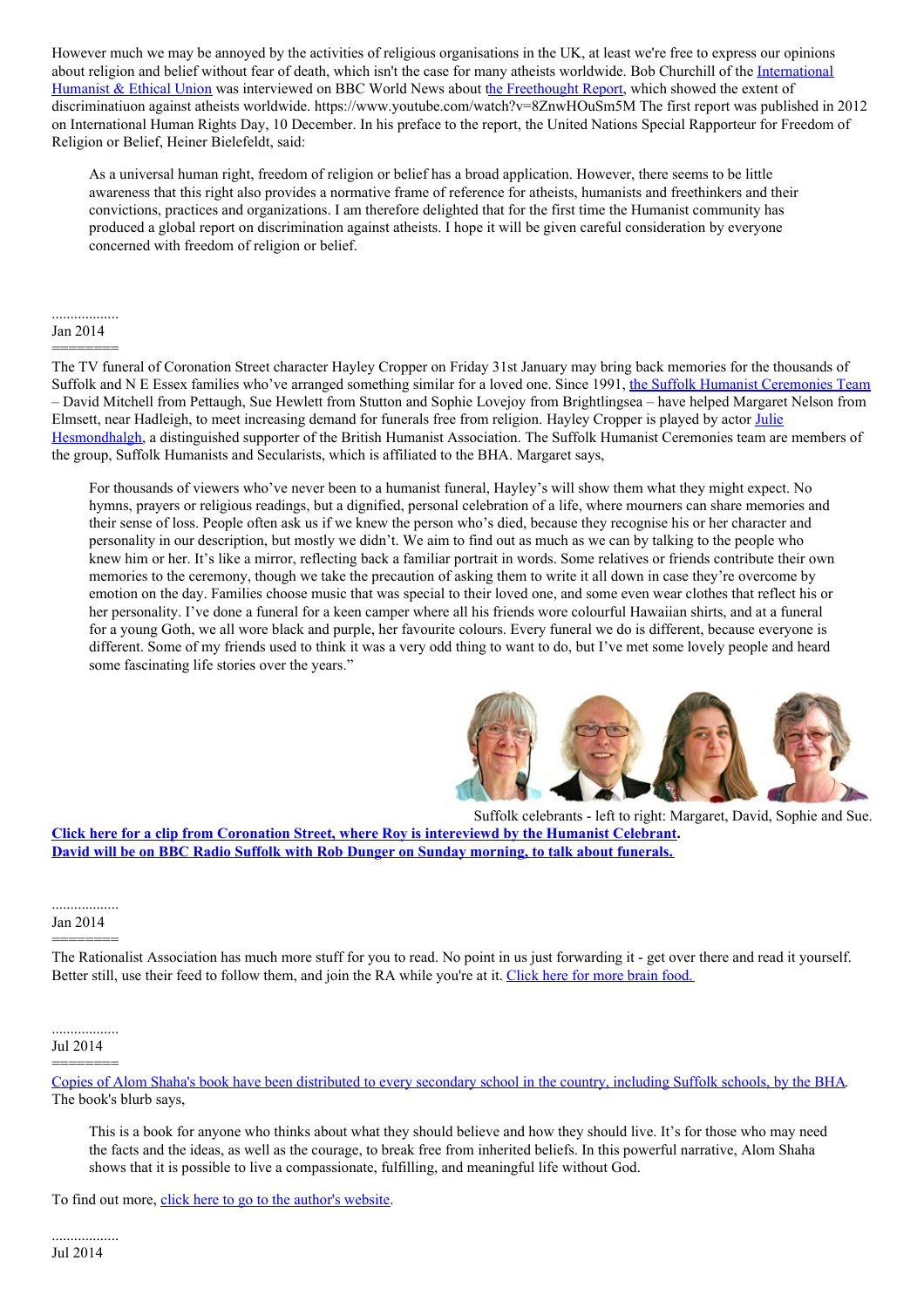However much we may be annoyed by the activities of religious organisations in the UK, at least we're free to express our opinions about religion and belief without fear of death, which isn't the case for many atheists worldwide. Bob Churchill of the [International](http://iheu.org/) Humanist & Ethical Union was interviewed on BBC World News about the [Freethought](http://freethoughtreport.com/) Report, which showed the extent of discriminatiuon against atheists worldwide. https://www.youtube.com/watch?v=8ZnwHOuSm5M The first report was published in 2012 on International Human Rights Day, 10 December. In his preface to the report, the United Nations Special Rapporteur for Freedom of Religion or Belief, Heiner Bielefeldt, said:

As a universal human right, freedom of religion or belief has a broad application. However, there seems to be little awareness that this right also provides a normative frame of reference for atheists, humanists and freethinkers and their convictions, practices and organizations. I am therefore delighted that for the first time the Humanist community has produced a global report on discrimination against atheists. I hope it will be given careful consideration by everyone concerned with freedom of religion or belief.

## .................. Jan 2014 ========

The TV funeral of Coronation Street character Hayley Cropper on Friday 31st January may bring back memories for the thousands of Suffolk and N E Essex families who've arranged something similar for a loved one. Since 1991, the Suffolk Humanist [Ceremonies](http://www.suffolkhands.org.uk/ceremonies/team) Team – David Mitchell from Pettaugh, Sue Hewlett from Stutton and Sophie Lovejoy from Brightlingsea – have helped Margaret Nelson from Elmsett, near Hadleigh, to meet increasing demand for funerals free from religion. Hayley Cropper is played by actor Julie [Hesmondhalgh,](https://humanism.org.uk/about/our-people/distinguished-supporters/julie-hesmondhalgh/) a distinguished supporter of the British Humanist Association. The Suffolk Humanist Ceremonies team are members of the group, Suffolk Humanists and Secularists, which is affiliated to the BHA. Margaret says,

For thousands of viewers who've never been to a humanist funeral, Hayley's will show them what they might expect. No hymns, prayers or religious readings, but a dignified, personal celebration of a life, where mourners can share memories and their sense of loss. People often ask us if we knew the person who's died, because they recognise his or her character and personality in our description, but mostly we didn't. We aim to find out as much as we can by talking to the people who knew him or her. It's like a mirror, reflecting back a familiar portrait in words. Some relatives or friends contribute their own memories to the ceremony, though we take the precaution of asking them to write it all down in case they're overcome by emotion on the day. Families choose music that was special to their loved one, and some even wear clothes that reflect his or her personality. I've done a funeral for a keen camper where all his friends wore colourful Hawaiian shirts, and at a funeral for a young Goth, we all wore black and purple, her favourite colours. Every funeral we do is different, because everyone is different. Some of my friends used to think it was a very odd thing to want to do, but I've met some lovely people and heard some fascinating life stories over the years."



Suffolk [celebrants](http://www.itv.com/coronationstreet/previews/preview-wed-29-jan-730pm) - left to right: Margaret, David, Sophie and Sue. **Click here for a clip from Coronation Street, where Roy is [intereviewd](http://www.itv.com/coronationstreet/previews/preview-wed-29-jan-730pm) by the Humanist Celebrant. David will be on BBC Radio Suffolk with Rob Dunger on Sunday [morning,](http://www.suffolkhands.org.uk/node/1592) to talk about funerals.**

#### .................. Jan 2014

========

The Rationalist Association has much more stuff for you to read. No point in us just forwarding it - get over there and read it yourself. Better still, use their feed to follow them, and join the RA while you're at it. [Click](http://rationalist.org.uk/articles) here for more brain food.

### .................. Jul 2014

======== Copies of Alom Shaha's book have been [distributed](https://humanism.org.uk/2014/04/29/british-humanist-association-sends-copy-young-atheists-handbook-every-secondary-school-england-wales/) to every secondary school in the country, including Suffolk schools, by the BHA. The book's blurb says,

This is a book for anyone who thinks about what they should believe and how they should live. It's for those who may need the facts and the ideas, as well as the courage, to break free from inherited beliefs. In this powerful narrative, Alom Shaha shows that it is possible to live a compassionate, fulfilling, and meaningful life without God.

To find out more, click here to go to the [author's](http://alomshaha.com/the-book/) website.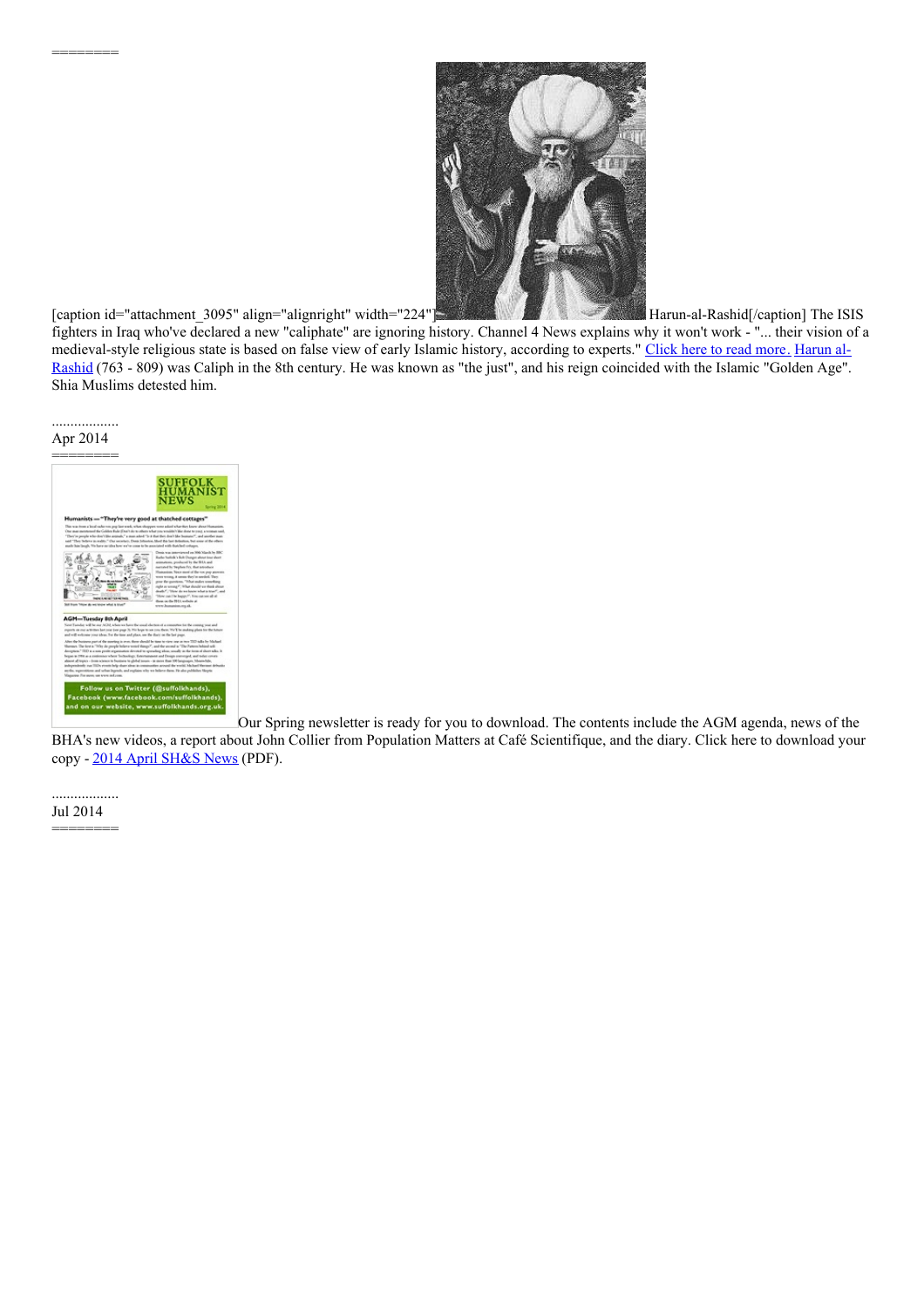

[caption id="attachment\_3095" align="alignright" width="224"[\]](http://suffolkhands.org.uk/wp-content/uploads/2014/07/Caliph.jpg) Marketing Marketing-al-Rashid[/caption] The ISIS fighters in Iraq who've declared a new "caliphate" are ignoring history. Channel 4 News explains why it won't work - "... their vision of a [medieval-style](http://en.wikipedia.org/wiki/Harun_al-Rashid) religious state is based on false view of early Islamic history, according to experts." [Click](http://www.channel4.com/news/what-is-a-caliphate-and-why-wont-it-work) here to read mor[e.](http://www.channel4.com/news/what-is-a-caliphate-and-why-wont-it-work) Harun al-Rashid (763 - 809) was Caliph in the 8th century. He was known as "the just", and his reign coincided with the Islamic "Golden Age". Shia Muslims detested him.

.................. Apr 2014

========



Our Spring newsletter is ready for you to download. The contents include the AGM agenda, news of the

BHA's new videos, a report about John Collier from Population Matters at Café Scientifique, and the diary. Click here to download your copy - 2014 April [SH&S](http://suffolkhands.org.uk/wp-content/uploads/2014/07/2014-April-SHS-News.pdf) News (PDF).

.................. Jul 2014 ========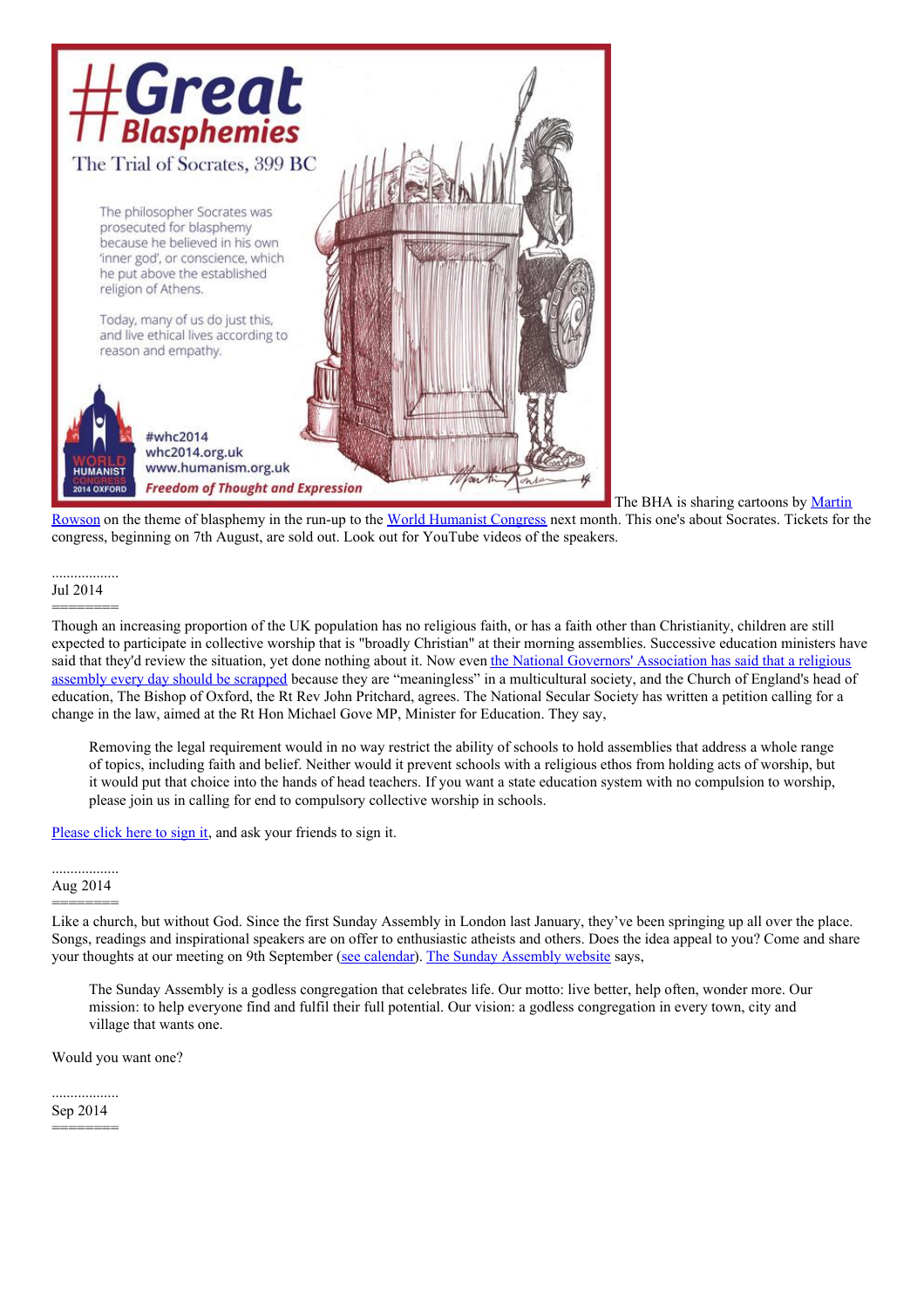

The BHA is sharing cartoons by Martin

Rowson on the theme of [blasphemy](https://humanism.org.uk/about/our-people/distinguished-supporters/martin-rowson/) in the run-up to the World [Humanist](http://whc2014.org.uk/) Congress next month. This one's about Socrates. Tickets for the congress, beginning on 7th August, are sold out. Look out for YouTube videos of the speakers.

# .................. Jul 2014 ========

Though an increasing proportion of the UK population has no religious faith, or has a faith other than Christianity, children are still expected to participate in collective worship that is "broadly Christian" at their morning assemblies. Successive education ministers have said that they'd review the situation, yet done nothing about it. Now even the National Governors' Association has said that a religious assembly every day should be scrapped because they are ["meaningless"](http://www.telegraph.co.uk/education/educationnews/10933867/School-governors-abolish-rules-on-Christian-assemblies.html) in a multicultural society, and the Church of England's head of education, The Bishop of Oxford, the Rt Rev John Pritchard, agrees. The National Secular Society has written a petition calling for a change in the law, aimed at the Rt Hon Michael Gove MP, Minister for Education. They say,

Removing the legal requirement would in no way restrict the ability of schools to hold assemblies that address a whole range of topics, including faith and belief. Neither would it prevent schools with a religious ethos from holding acts of worship, but it would put that choice into the hands of head teachers. If you want a state education system with no compulsion to worship, please join us in calling for end to compulsory collective worship in schools.

[Please](https://www.change.org/en-GB/petitions/end-compulsory-worship-in-schools) click here to sign it, and ask your friends to sign it.

## .................. Aug 2014

======== Like a church, but without God. Since the first Sunday Assembly in London last January, they've been springing up all over the place. Songs, readings and inspirational speakers are on offer to enthusiastic atheists and others. Does the idea appeal to you? Come and share your thoughts at our meeting on 9th September (see [calendar](http://suffolkhands.org.uk/calendar/)). The Sunday [Assembly](http://sundayassembly.com/) website says,

The Sunday Assembly is a godless congregation that celebrates life. Our motto: live better, help often, wonder more. Our mission: to help everyone find and fulfil their full potential. Our vision: a godless congregation in every town, city and village that wants one.

Would you want one?

.................. Sep 2014

========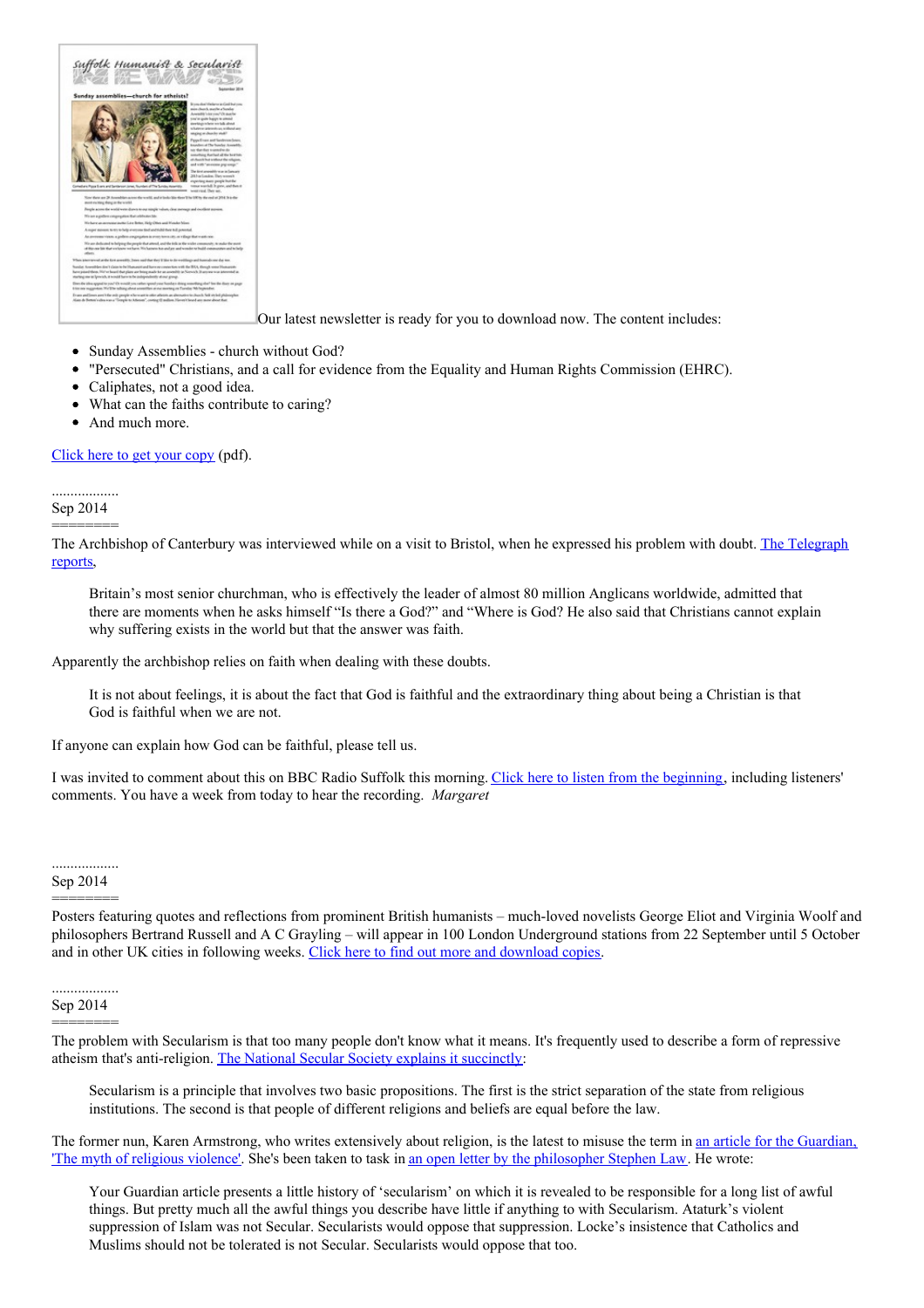

Our latest newsletter is ready for you to download now. The content includes:

- $\bullet$ Sunday Assemblies - church without God?
- "Persecuted" Christians, and a call for evidence from the Equality and Human Rights Commission (EHRC).
- $\bullet$ Caliphates, not a good idea.
- $\bullet$ What can the faiths contribute to caring?
- And much more.

# [Click](http://suffolkhands.org.uk/wp-content/uploads/2014/09/2014-Sept-SHS-News.pdf) here to get your copy (pdf).

.................. Sep 2014 ========

The Archbishop of Canterbury was [interviewed](http://www.telegraph.co.uk/news/religion/11102371/Archbishop-of-Canterbury-my-doubts-about-existence-of-God.html) while on a visit to Bristol, when he expressed his problem with doubt. The Telegraph reports,

Britain's most senior churchman, who is effectively the leader of almost 80 million Anglicans worldwide, admitted that there are moments when he asks himself "Is there a God?" and "Where is God? He also said that Christians cannot explain why suffering exists in the world but that the answer was faith.

Apparently the archbishop relies on faith when dealing with these doubts.

It is not about feelings, it is about the fact that God is faithful and the extraordinary thing about being a Christian is that God is faithful when we are not.

If anyone can explain how God can be faithful, please tell us.

I was invited to comment about this on BBC Radio Suffolk this morning. Click here to listen from the [beginning](http://www.bbc.co.uk/programmes/p0262rv4), including listeners' comments. You have a week from today to hear the recording. *Margaret*

## .................. Sep 2014

========

Posters featuring quotes and reflections from prominent British humanists – much-loved novelists George Eliot and Virginia Woolf and philosophers Bertrand Russell and A C Grayling – will appear in 100 London Underground stations from 22 September until 5 October and in other UK cities in following weeks. Click here to find out more and [download](https://humanism.org.uk/campaigns/thought-commute/posters/) copies.

#### .................. Sep 2014

========

The problem with Secularism is that too many people don't know what it means. It's frequently used to describe a form of repressive atheism that's anti-religion. The National Secular Society explains it [succinctly](http://www.secularism.org.uk/what-is-secularism.html):

Secularism is a principle that involves two basic propositions. The first is the strict separation of the state from religious institutions. The second is that people of different religions and beliefs are equal before the law.

The former nun, Karen Armstrong, who writes extensively about religion, is the latest to misuse the term in an article for the Guardian, 'The myth of religious violence'. She's been taken to task in an open letter by the [philosopher](http://www.centerforinquiry.net/blogs/entry/open_letter_to_karen_armstrong_on_the_myth_of_religious_violence/) Stephen Law. He wrote:

Your Guardian article presents a little history of 'secularism' on which it is revealed to be responsible for a long list of awful things. But pretty much all the awful things you describe have little if anything to with Secularism. Ataturk's violent suppression of Islam was not Secular. Secularists would oppose that suppression. Locke's insistence that Catholics and Muslims should not be tolerated is not Secular. Secularists would oppose that too.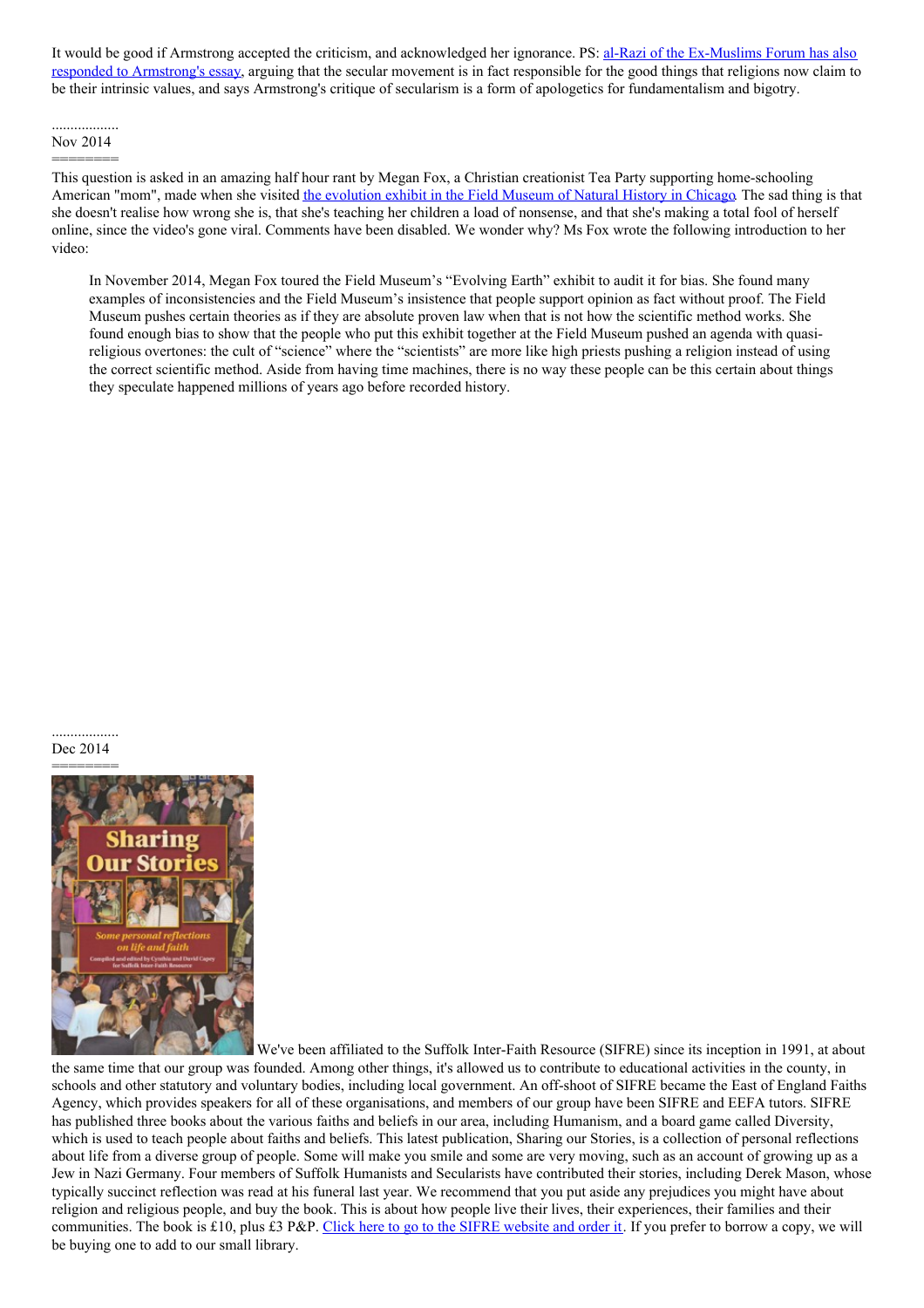It would be good if Armstrong accepted the criticism, and [acknowledged](http://www.secularism.org.uk/blog/2014/09/secularism-and-religious-intolerance---an-ex-muslim-perspective-on-karen-armstrongs-essay) her ignorance. PS: al-Razi of the Ex-Muslims Forum has also responded to Armstrong's essay, arguing that the secular movement is in fact responsible for the good things that religions now claim to be their intrinsic values, and says Armstrong's critique of secularism is a form of apologetics for fundamentalism and bigotry.

### .................. Nov 2014

======== This question is asked in an amazing half hour rant by Megan Fox, a Christian creationist Tea Party supporting home-schooling American "mom", made when she visited the [evolution](http://www.fieldmuseum.org/at-the-field/exhibitions/evolving-planet) exhibit in the Field Museum of Natural History in Chicago. The sad thing is that she doesn't realise how wrong she is, that she's teaching her children a load of nonsense, and that she's making a total fool of herself online, since the video's gone viral. Comments have been disabled. We wonder why? Ms Fox wrote the following introduction to her video:

In November 2014, Megan Fox toured the Field Museum's "Evolving Earth" exhibit to audit it for bias. She found many examples of inconsistencies and the Field Museum's insistence that people support opinion as fact without proof. The Field Museum pushes certain theories as if they are absolute proven law when that is not how the scientific method works. She found enough bias to show that the people who put this exhibit together at the Field Museum pushed an agenda with quasireligious overtones: the cult of "science" where the "scientists" are more like high priests pushing a religion instead of using the correct scientific method. Aside from having time machines, there is no way these people can be this certain about things they speculate happened millions of years ago before recorded history.

### .................. Dec 2014



We've been affiliated to the Suffolk Inter-Faith Resource (SIFRE) since its inception in 1991, at about the same time that our group was founded. Among other things, it's allowed us to contribute to educational activities in the county, in schools and other statutory and voluntary bodies, including local government. An off-shoot of SIFRE became the East of England Faiths Agency, which provides speakers for all of these organisations, and members of our group have been SIFRE and EEFA tutors. SIFRE has published three books about the various faiths and beliefs in our area, including Humanism, and a board game called Diversity, which is used to teach people about faiths and beliefs. This latest publication, Sharing our Stories, is a collection of personal reflections about life from a diverse group of people. Some will make you smile and some are very moving, such as an account of growing up as a Jew in Nazi Germany. Four members of Suffolk Humanists and Secularists have contributed their stories, including Derek Mason, whose typically succinct reflection was read at his funeral last year. We recommend that you put aside any prejudices you might have about religion and religious people, and buy the book. This is about how people live their lives, their experiences, their families and their communities. The book is £10, plus £3 P&P. Click here to go to the SIFRE [website](http://www.sifre.org.uk/lib/hotp.htm) and order it. If you prefer to borrow a copy, we will be buying one to add to our small library.